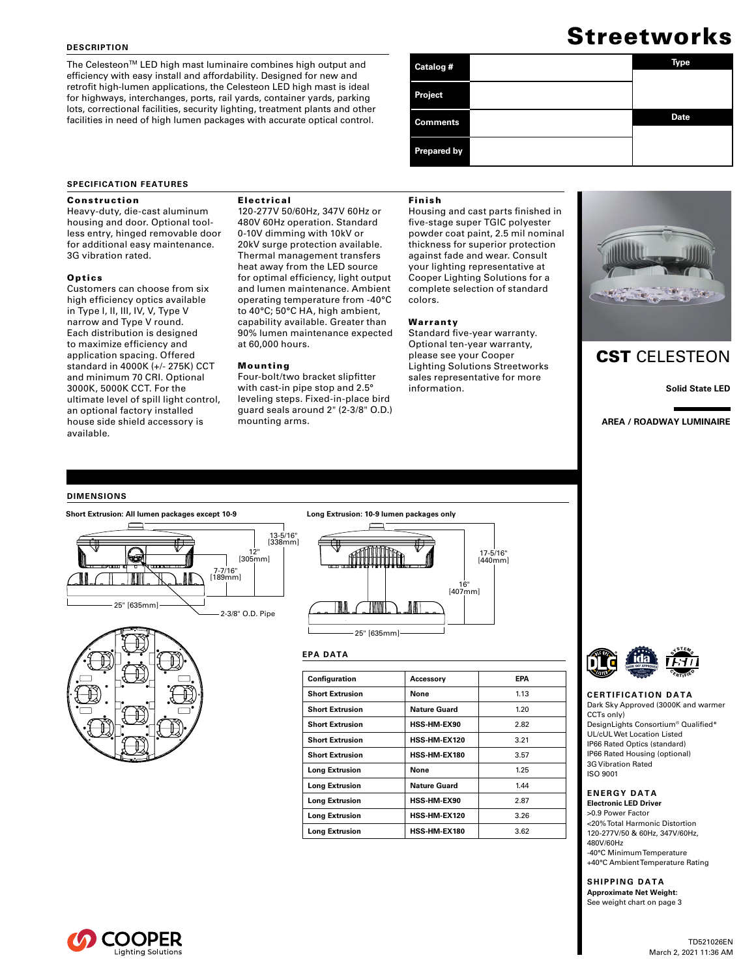#### **DESCRIPTION**

The Celesteon™ LED high mast luminaire combines high output and efficiency with easy install and affordability. Designed for new and retrofit high-lumen applications, the Celesteon LED high mast is ideal for highways, interchanges, ports, rail yards, container yards, parking lots, correctional facilities, security lighting, treatment plants and other facilities in need of high lumen packages with accurate optical control.

# **Streetworks**

| Catalog #          | <b>Type</b> |
|--------------------|-------------|
| <b>Project</b>     |             |
| <b>Comments</b>    | <b>Date</b> |
| <b>Prepared by</b> |             |

#### **SPECIFICATION FEATURES**

#### Construction

Heavy-duty, die-cast aluminum housing and door. Optional toolless entry, hinged removable door for additional easy maintenance. 3G vibration rated.

#### **Optics**

Customers can choose from six high efficiency optics available in Type I, II, III, IV, V, Type V narrow and Type V round. Each distribution is designed to maximize efficiency and application spacing. Offered standard in 4000K (+/- 275K) CCT and minimum 70 CRI. Optional 3000K, 5000K CCT. For the ultimate level of spill light control, an optional factory installed house side shield accessory is available.

#### Electrical

120-277V 50/60Hz, 347V 60Hz or 480V 60Hz operation. Standard 0-10V dimming with 10kV or 20kV surge protection available. Thermal management transfers heat away from the LED source for optimal efficiency, light output and lumen maintenance. Ambient operating temperature from -40°C to 40°C; 50°C HA, high ambient, capability available. Greater than 90% lumen maintenance expected at 60,000 hours.

#### Mounting

Four-bolt/two bracket slipfitter with cast-in pipe stop and 2.5° leveling steps. Fixed-in-place bird guard seals around 2" (2-3/8" O.D.) mounting arms.

#### Finish

Housing and cast parts finished in five-stage super TGIC polyester powder coat paint, 2.5 mil nominal thickness for superior protection against fade and wear. Consult your lighting representative at Cooper Lighting Solutions for a complete selection of standard colors.

#### Warranty

Standard five-year warranty. Optional ten-year warranty, please see your Cooper Lighting Solutions Streetworks sales representative for more information.



## CST CELESTEON

**Solid State LED**

**AREA / ROADWAY LUMINAIRE**

#### **DIMENSIONS**







#### **EPA DATA**

| Configuration          | Accessory           | EPA  |
|------------------------|---------------------|------|
| <b>Short Extrusion</b> | None                | 1.13 |
| <b>Short Extrusion</b> | Nature Guard        | 1.20 |
| <b>Short Extrusion</b> | <b>HSS-HM-EX90</b>  | 2.82 |
| <b>Short Extrusion</b> | HSS-HM-EX120        | 3.21 |
| <b>Short Extrusion</b> | HSS-HM-EX180        | 3.57 |
| <b>Long Extrusion</b>  | None                | 1.25 |
| <b>Long Extrusion</b>  | <b>Nature Guard</b> | 1.44 |
| <b>Long Extrusion</b>  | <b>HSS-HM-EX90</b>  | 2.87 |
| <b>Long Extrusion</b>  | <b>HSS-HM-EX120</b> | 3.26 |
| <b>Long Extrusion</b>  | HSS-HM-EX180        | 3.62 |



#### **CERTIFICATION DATA** Dark Sky Approved (3000K and warmer CCTs only)

DesignLights Consortium® Qualified\* UL/cUL Wet Location Listed IP66 Rated Optics (standard) IP66 Rated Housing (optional) 3G Vibration Rated ISO 9001

### **ENERGY DATA**

**Electronic LED Driver** >0.9 Power Factor <20% Total Harmonic Distortion 120-277V/50 & 60Hz, 347V/60Hz, 480V/60Hz -40°C Minimum Temperature +40°C Ambient Temperature Rating

**SHIPPING DATA Approximate Net Weight:**  See weight chart on page 3

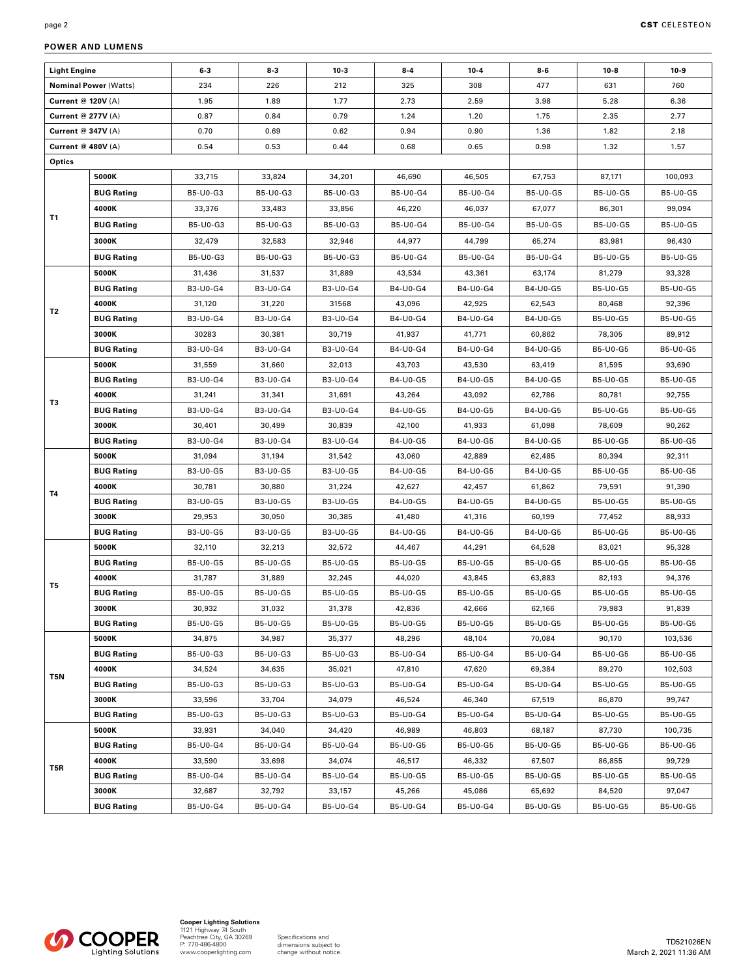| <b>Light Engine</b>          |                   | $6 - 3$  | $8-3$    | $10-3$   | $8 - 4$  | $10 - 4$ | $8 - 6$         | $10-8$          | $10-9$          |
|------------------------------|-------------------|----------|----------|----------|----------|----------|-----------------|-----------------|-----------------|
| <b>Nominal Power (Watts)</b> |                   | 234      | 226      | 212      | 325      | 308      | 477             | 631             | 760             |
| Current @ 120V (A)           |                   | 1.95     | 1.89     | 1.77     | 2.73     | 2.59     | 3.98            | 5.28            | 6.36            |
| Current @ 277V (A)           |                   | 0.87     | 0.84     | 0.79     | 1.24     | 1.20     | 1.75            | 2.35            | 2.77            |
| Current @ 347V (A)           |                   | 0.70     | 0.69     | 0.62     | 0.94     | 0.90     | 1.36            | 1.82            | 2.18            |
| Current @ 480V (A)           |                   | 0.54     | 0.53     | 0.44     | 0.68     | 0.65     | 0.98            | 1.32            | 1.57            |
| Optics                       |                   |          |          |          |          |          |                 |                 |                 |
|                              | 5000K             | 33,715   | 33,824   | 34,201   | 46,690   | 46,505   | 67,753          | 87,171          | 100,093         |
|                              | <b>BUG Rating</b> | B5-U0-G3 | B5-U0-G3 | B5-U0-G3 | B5-U0-G4 | B5-U0-G4 | B5-U0-G5        | B5-U0-G5        | B5-U0-G5        |
| T1                           | 4000K             | 33,376   | 33,483   | 33,856   | 46,220   | 46,037   | 67,077          | 86,301          | 99,094          |
|                              | <b>BUG Rating</b> | B5-U0-G3 | B5-U0-G3 | B5-U0-G3 | B5-U0-G4 | B5-U0-G4 | B5-U0-G5        | B5-U0-G5        | B5-U0-G5        |
|                              | 3000K             | 32,479   | 32,583   | 32,946   | 44,977   | 44,799   | 65,274          | 83,981          | 96,430          |
|                              | <b>BUG Rating</b> | B5-U0-G3 | B5-U0-G3 | B5-U0-G3 | B5-U0-G4 | B5-U0-G4 | B5-U0-G4        | B5-U0-G5        | B5-U0-G5        |
|                              | 5000K             | 31,436   | 31,537   | 31,889   | 43,534   | 43,361   | 63,174          | 81,279          | 93,328          |
|                              | <b>BUG Rating</b> | B3-U0-G4 | B3-U0-G4 | B3-U0-G4 | B4-U0-G4 | B4-U0-G4 | B4-U0-G5        | B5-U0-G5        | B5-U0-G5        |
|                              | 4000K             | 31,120   | 31,220   | 31568    | 43,096   | 42,925   | 62,543          | 80,468          | 92,396          |
| T2                           | <b>BUG Rating</b> | B3-U0-G4 | B3-U0-G4 | B3-U0-G4 | B4-U0-G4 | B4-U0-G4 | B4-U0-G5        | B5-U0-G5        | B5-U0-G5        |
|                              | 3000K             | 30283    | 30,381   | 30,719   | 41,937   | 41,771   | 60,862          | 78,305          | 89,912          |
|                              | <b>BUG Rating</b> | B3-U0-G4 | B3-U0-G4 | B3-U0-G4 | B4-U0-G4 | B4-U0-G4 | B4-U0-G5        | B5-U0-G5        | B5-U0-G5        |
|                              | 5000K             | 31,559   | 31,660   | 32,013   | 43,703   | 43,530   | 63,419          | 81,595          | 93,690          |
|                              | <b>BUG Rating</b> | B3-U0-G4 | B3-U0-G4 | B3-U0-G4 | B4-U0-G5 | B4-U0-G5 | B4-U0-G5        | B5-U0-G5        | B5-U0-G5        |
|                              | 4000K             | 31,241   | 31,341   | 31,691   | 43,264   | 43,092   | 62,786          | 80,781          | 92,755          |
| T3                           | <b>BUG Rating</b> | B3-U0-G4 | B3-U0-G4 | B3-U0-G4 | B4-U0-G5 | B4-U0-G5 | B4-U0-G5        | <b>B5-U0-G5</b> | <b>B5-U0-G5</b> |
|                              | 3000K             | 30,401   | 30,499   | 30,839   | 42,100   | 41,933   | 61,098          | 78,609          | 90,262          |
|                              | <b>BUG Rating</b> | B3-U0-G4 | B3-U0-G4 | B3-U0-G4 | B4-U0-G5 | B4-U0-G5 | B4-U0-G5        | B5-U0-G5        | B5-U0-G5        |
|                              | 5000K             | 31,094   | 31,194   | 31,542   | 43,060   | 42,889   | 62,485          | 80,394          | 92,311          |
|                              | <b>BUG Rating</b> | B3-U0-G5 | B3-U0-G5 | B3-U0-G5 | B4-U0-G5 | B4-U0-G5 | B4-U0-G5        | B5-U0-G5        | B5-U0-G5        |
| T4                           | 4000K             | 30,781   | 30,880   | 31,224   | 42,627   | 42,457   | 61,862          | 79,591          | 91,390          |
|                              | <b>BUG Rating</b> | B3-U0-G5 | B3-U0-G5 | B3-U0-G5 | B4-U0-G5 | B4-U0-G5 | B4-U0-G5        | B5-U0-G5        | B5-U0-G5        |
|                              | 3000K             | 29,953   | 30,050   | 30,385   | 41,480   | 41,316   | 60,199          | 77,452          | 88,933          |
|                              | <b>BUG Rating</b> | B3-U0-G5 | B3-U0-G5 | B3-U0-G5 | B4-U0-G5 | B4-U0-G5 | B4-U0-G5        | B5-U0-G5        | B5-U0-G5        |
|                              | 5000K             | 32,110   | 32,213   | 32,572   | 44,467   | 44,291   | 64,528          | 83,021          | 95,328          |
|                              | <b>BUG Rating</b> | B5-U0-G5 | B5-U0-G5 | B5-U0-G5 | B5-U0-G5 | B5-U0-G5 | B5-U0-G5        | B5-U0-G5        | B5-U0-G5        |
| T5                           | 4000K             | 31,787   | 31,889   | 32,245   | 44,020   | 43,845   | 63,883          | 82,193          | 94,376          |
|                              | <b>BUG Rating</b> | B5-U0-G5 | B5-U0-G5 | B5-U0-G5 | B5-U0-G5 | B5-U0-G5 | <b>B5-U0-G5</b> | B5-U0-G5        | B5-U0-G5        |
|                              | 3000K             | 30,932   | 31,032   | 31,378   | 42,836   | 42,666   | 62,166          | 79,983          | 91,839          |
|                              | <b>BUG Rating</b> | B5-U0-G5 | B5-U0-G5 | B5-U0-G5 | B5-U0-G5 | B5-U0-G5 | B5-U0-G5        | B5-U0-G5        | B5-U0-G5        |
|                              | 5000K             | 34,875   | 34,987   | 35,377   | 48,296   | 48,104   | 70,084          | 90,170          | 103,536         |
|                              | <b>BUG Rating</b> | B5-U0-G3 | B5-U0-G3 | B5-U0-G3 | B5-U0-G4 | B5-U0-G4 | B5-U0-G4        | B5-U0-G5        | B5-U0-G5        |
| T5N                          | 4000K             | 34,524   | 34,635   | 35,021   | 47,810   | 47,620   | 69,384          | 89,270          | 102,503         |
|                              | <b>BUG Rating</b> | B5-U0-G3 | B5-U0-G3 | B5-U0-G3 | B5-U0-G4 | B5-U0-G4 | B5-U0-G4        | B5-U0-G5        | B5-U0-G5        |
|                              | 3000K             | 33,596   | 33,704   | 34,079   | 46,524   | 46,340   | 67,519          | 86,870          | 99,747          |
|                              | <b>BUG Rating</b> | B5-U0-G3 | B5-U0-G3 | B5-U0-G3 | B5-U0-G4 | B5-U0-G4 | B5-U0-G4        | B5-U0-G5        | B5-U0-G5        |
|                              | 5000K             | 33,931   | 34,040   | 34,420   | 46,989   | 46,803   | 68,187          | 87,730          | 100,735         |
|                              | <b>BUG Rating</b> | B5-U0-G4 | B5-U0-G4 | B5-U0-G4 | B5-U0-G5 | B5-U0-G5 | B5-U0-G5        | B5-U0-G5        | B5-U0-G5        |
| T5R                          | 4000K             | 33,590   | 33,698   | 34,074   | 46,517   | 46,332   | 67,507          | 86,855          | 99,729          |
|                              | <b>BUG Rating</b> | B5-U0-G4 | B5-U0-G4 | B5-U0-G4 | B5-U0-G5 | B5-U0-G5 | B5-U0-G5        | B5-U0-G5        | B5-U0-G5        |
|                              | 3000K             | 32,687   | 32,792   | 33,157   | 45,266   | 45,086   | 65,692          | 84,520          | 97,047          |
|                              | <b>BUG Rating</b> | B5-U0-G4 | B5-U0-G4 | B5-U0-G4 | B5-U0-G4 | B5-U0-G4 | B5-U0-G5        | B5-U0-G5        | B5-U0-G5        |

### **POWER AND LUMENS**